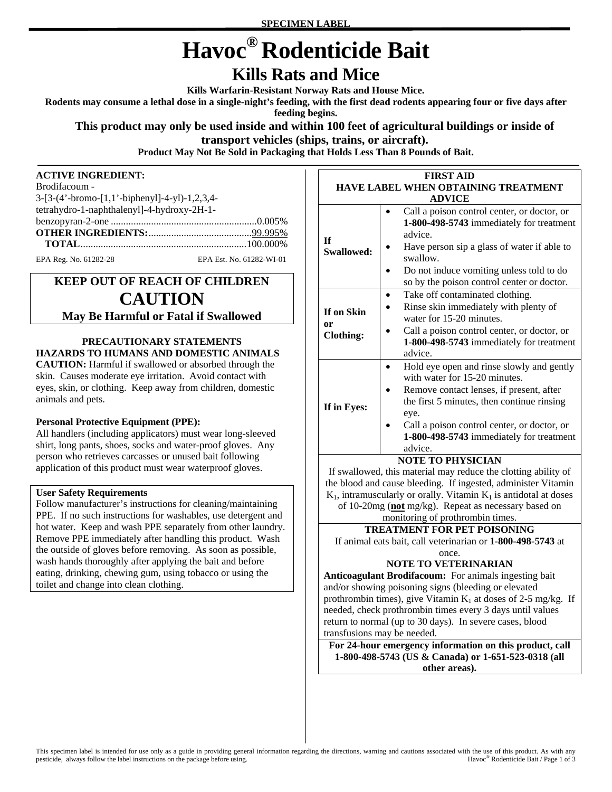# **Havoc® Rodenticide Bait**

# **Kills Rats and Mice**

**Kills Warfarin-Resistant Norway Rats and House Mice.** 

**Rodents may consume a lethal dose in a single-night's feeding, with the first dead rodents appearing four or five days after** 

**feeding begins.** 

#### **This product may only be used inside and within 100 feet of agricultural buildings or inside of transport vehicles (ships, trains, or aircraft).**

**Product May Not Be Sold in Packaging that Holds Less Than 8 Pounds of Bait.** 

#### **ACTIVE INGREDIENT:**

| Brodifacoum -                                  |                          |
|------------------------------------------------|--------------------------|
| $3-[3-(4'-bromo-[1,1'-bipheny]]-4-y]-1,2,3,4-$ |                          |
| tetrahydro-1-naphthalenyl]-4-hydroxy-2H-1-     |                          |
|                                                |                          |
|                                                |                          |
|                                                |                          |
| EPA Reg. No. 61282-28                          | EPA Est. No. 61282-WI-01 |

## **KEEP OUT OF REACH OF CHILDREN CAUTION May Be Harmful or Fatal if Swallowed**

### **PRECAUTIONARY STATEMENTS HAZARDS TO HUMANS AND DOMESTIC ANIMALS**

**CAUTION:** Harmful if swallowed or absorbed through the skin. Causes moderate eye irritation. Avoid contact with eyes, skin, or clothing. Keep away from children, domestic animals and pets.

#### **Personal Protective Equipment (PPE):**

All handlers (including applicators) must wear long-sleeved shirt, long pants, shoes, socks and water-proof gloves. Any person who retrieves carcasses or unused bait following application of this product must wear waterproof gloves.

#### **User Safety Requirements**

Follow manufacturer's instructions for cleaning/maintaining PPE. If no such instructions for washables, use detergent and hot water. Keep and wash PPE separately from other laundry. Remove PPE immediately after handling this product. Wash the outside of gloves before removing. As soon as possible, wash hands thoroughly after applying the bait and before eating, drinking, chewing gum, using tobacco or using the toilet and change into clean clothing.

| <b>FIRST AID</b>                           |                                                                                                    |  |
|--------------------------------------------|----------------------------------------------------------------------------------------------------|--|
| <b>HAVE LABEL WHEN OBTAINING TREATMENT</b> |                                                                                                    |  |
| <b>ADVICE</b>                              |                                                                                                    |  |
| Τf<br>Swallowed:                           | Call a poison control center, or doctor, or<br>1-800-498-5743 immediately for treatment<br>advice. |  |
|                                            | Have person sip a glass of water if able to<br>swallow.                                            |  |
|                                            | Do not induce vomiting unless told to do<br>so by the poison control center or doctor.             |  |
| If on Skin<br>0r<br><b>Clothing:</b>       | Take off contaminated clothing.                                                                    |  |
|                                            | Rinse skin immediately with plenty of<br>water for 15-20 minutes.                                  |  |
|                                            | Call a poison control center, or doctor, or<br>1-800-498-5743 immediately for treatment<br>advice. |  |
| If in Eyes:                                | Hold eye open and rinse slowly and gently<br>with water for 15-20 minutes.                         |  |
|                                            | Remove contact lenses, if present, after<br>the first 5 minutes, then continue rinsing<br>eye.     |  |
|                                            | Call a poison control center, or doctor, or<br>1-800-498-5743 immediately for treatment<br>advice. |  |
| <b>NOTE TO PHYSICIAN</b>                   |                                                                                                    |  |

If swallowed, this material may reduce the clotting ability of the blood and cause bleeding. If ingested, administer Vitamin  $K_1$ , intramuscularly or orally. Vitamin  $K_1$  is antidotal at doses of 10-20mg (**not** mg/kg). Repeat as necessary based on monitoring of prothrombin times.

## **TREATMENT FOR PET POISONING**

If animal eats bait, call veterinarian or **1-800-498-5743** at once.

#### **NOTE TO VETERINARIAN**

**Anticoagulant Brodifacoum:** For animals ingesting bait and/or showing poisoning signs (bleeding or elevated prothrombin times), give Vitamin  $K_1$  at doses of 2-5 mg/kg. If needed, check prothrombin times every 3 days until values return to normal (up to 30 days). In severe cases, blood transfusions may be needed.

**For 24-hour emergency information on this product, call 1-800-498-5743 (US & Canada) or 1-651-523-0318 (all other areas).**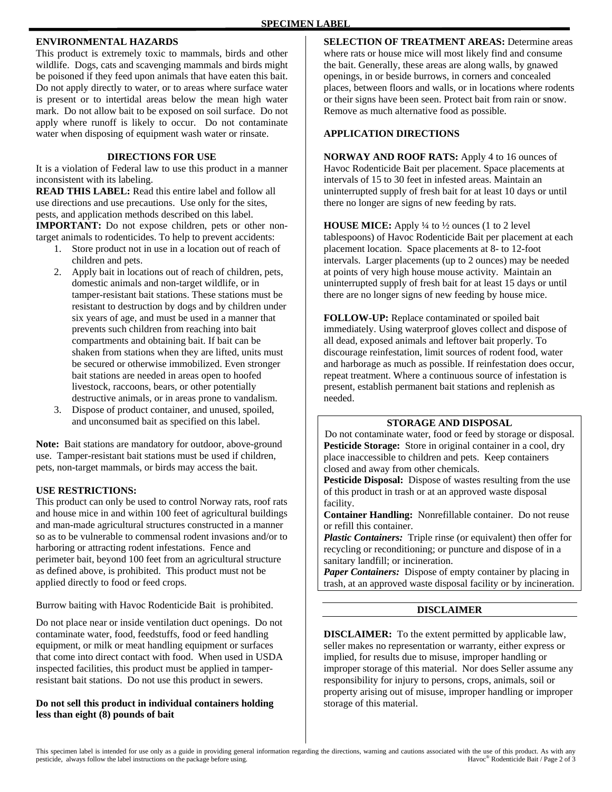#### **ENVIRONMENTAL HAZARDS**

This product is extremely toxic to mammals, birds and other wildlife. Dogs, cats and scavenging mammals and birds might be poisoned if they feed upon animals that have eaten this bait. Do not apply directly to water, or to areas where surface water is present or to intertidal areas below the mean high water mark. Do not allow bait to be exposed on soil surface. Do not apply where runoff is likely to occur. Do not contaminate water when disposing of equipment wash water or rinsate.

#### **DIRECTIONS FOR USE**

It is a violation of Federal law to use this product in a manner inconsistent with its labeling.

**READ THIS LABEL:** Read this entire label and follow all use directions and use precautions. Use only for the sites, pests, and application methods described on this label. **IMPORTANT:** Do not expose children, pets or other nontarget animals to rodenticides. To help to prevent accidents:

- 1. Store product not in use in a location out of reach of children and pets.
- 2. Apply bait in locations out of reach of children, pets, domestic animals and non-target wildlife, or in tamper-resistant bait stations. These stations must be resistant to destruction by dogs and by children under six years of age, and must be used in a manner that prevents such children from reaching into bait compartments and obtaining bait. If bait can be shaken from stations when they are lifted, units must be secured or otherwise immobilized. Even stronger bait stations are needed in areas open to hoofed livestock, raccoons, bears, or other potentially destructive animals, or in areas prone to vandalism.
- 3. Dispose of product container, and unused, spoiled, and unconsumed bait as specified on this label.

**Note:** Bait stations are mandatory for outdoor, above-ground use. Tamper-resistant bait stations must be used if children, pets, non-target mammals, or birds may access the bait.

#### **USE RESTRICTIONS:**

This product can only be used to control Norway rats, roof rats and house mice in and within 100 feet of agricultural buildings and man-made agricultural structures constructed in a manner so as to be vulnerable to commensal rodent invasions and/or to harboring or attracting rodent infestations. Fence and perimeter bait, beyond 100 feet from an agricultural structure as defined above, is prohibited. This product must not be applied directly to food or feed crops.

Burrow baiting with Havoc Rodenticide Bait is prohibited.

Do not place near or inside ventilation duct openings. Do not contaminate water, food, feedstuffs, food or feed handling equipment, or milk or meat handling equipment or surfaces that come into direct contact with food. When used in USDA inspected facilities, this product must be applied in tamperresistant bait stations. Do not use this product in sewers.

#### **Do not sell this product in individual containers holding less than eight (8) pounds of bait**

**SELECTION OF TREATMENT AREAS:** Determine areas where rats or house mice will most likely find and consume the bait. Generally, these areas are along walls, by gnawed openings, in or beside burrows, in corners and concealed places, between floors and walls, or in locations where rodents or their signs have been seen. Protect bait from rain or snow. Remove as much alternative food as possible.

#### **APPLICATION DIRECTIONS**

**NORWAY AND ROOF RATS:** Apply 4 to 16 ounces of Havoc Rodenticide Bait per placement. Space placements at intervals of 15 to 30 feet in infested areas. Maintain an uninterrupted supply of fresh bait for at least 10 days or until there no longer are signs of new feeding by rats.

**HOUSE MICE:** Apply ¼ to ½ ounces (1 to 2 level tablespoons) of Havoc Rodenticide Bait per placement at each placement location. Space placements at 8- to 12-foot intervals. Larger placements (up to 2 ounces) may be needed at points of very high house mouse activity. Maintain an uninterrupted supply of fresh bait for at least 15 days or until there are no longer signs of new feeding by house mice.

**FOLLOW-UP:** Replace contaminated or spoiled bait immediately. Using waterproof gloves collect and dispose of all dead, exposed animals and leftover bait properly. To discourage reinfestation, limit sources of rodent food, water and harborage as much as possible. If reinfestation does occur, repeat treatment. Where a continuous source of infestation is present, establish permanent bait stations and replenish as needed.

#### **STORAGE AND DISPOSAL**

Do not contaminate water, food or feed by storage or disposal. **Pesticide Storage:** Store in original container in a cool, dry place inaccessible to children and pets. Keep containers closed and away from other chemicals.

**Pesticide Disposal:** Dispose of wastes resulting from the use of this product in trash or at an approved waste disposal facility.

**Container Handling:** Nonrefillable container. Do not reuse or refill this container.

*Plastic Containers:* Triple rinse (or equivalent) then offer for recycling or reconditioning; or puncture and dispose of in a sanitary landfill; or incineration.

*Paper Containers:* Dispose of empty container by placing in trash, at an approved waste disposal facility or by incineration.

#### **DISCLAIMER**

**DISCLAIMER:** To the extent permitted by applicable law, seller makes no representation or warranty, either express or implied, for results due to misuse, improper handling or improper storage of this material. Nor does Seller assume any responsibility for injury to persons, crops, animals, soil or property arising out of misuse, improper handling or improper storage of this material.